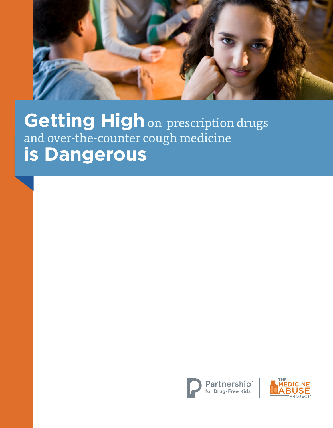

**Getting High** on prescription drugs and over-the-counter cough medicine **is Dangerous**



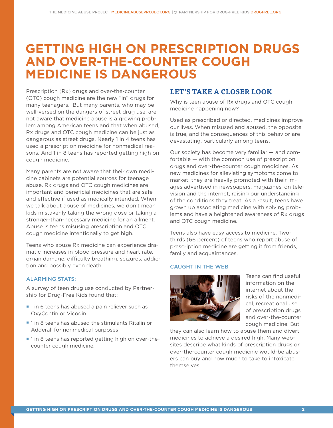# **GETTING HIGH ON PRESCRIPTION DRUGS AND OVER-THE-COUNTER COUGH MEDICINE IS DANGEROUS**

Prescription (Rx) drugs and over-the-counter (OTC) cough medicine are the new "in" drugs for many teenagers. But many parents, who may be well-versed on the dangers of street drug use, are not aware that medicine abuse is a growing problem among American teens and that when abused, Rx drugs and OTC cough medicine can be just as dangerous as street drugs. Nearly 1 in 4 teens has used a prescription medicine for nonmedical reasons. And 1 in 8 teens has reported getting high on cough medicine.

Many parents are not aware that their own medicine cabinets are potential sources for teenage abuse. Rx drugs and OTC cough medicines are important and beneficial medicines that are safe and effective if used as medically intended. When we talk about abuse of medicines, we don't mean kids mistakenly taking the wrong dose or taking a stronger-than-necessary medicine for an ailment. Abuse is teens misusing prescription and OTC cough medicine intentionally to get high.

Teens who abuse Rx medicine can experience dramatic increases in blood pressure and heart rate, organ damage, difficulty breathing, seizures, addiction and possibly even death.

## ALARMING STATS:

A survey of teen drug use conducted by Partnership for Drug-Free Kids found that:

- 1 in 6 teens has abused a pain reliever such as OxyContin or Vicodin
- 1 in 8 teens has abused the stimulants Ritalin or Adderall for nonmedical purposes
- **I** 1 in 8 teens has reported getting high on over-thecounter cough medicine.

## **LET'S TAKE A CLOSER LOOK**

Why is teen abuse of Rx drugs and OTC cough medicine happening now?

Used as prescribed or directed, medicines improve our lives. When misused and abused, the opposite is true, and the consequences of this behavior are devastating, particularly among teens.

Our society has become very familiar — and comfortable — with the common use of prescription drugs and over-the-counter cough medicines. As new medicines for alleviating symptoms come to market, they are heavily promoted with their images advertised in newspapers, magazines, on television and the internet, raising our understanding of the conditions they treat. As a result, teens have grown up associating medicine with solving problems and have a heightened awareness of Rx drugs and OTC cough medicine.

Teens also have easy access to medicine. Twothirds (66 percent) of teens who report abuse of prescription medicine are getting it from friends, family and acquaintances.

#### CAUGHT IN THE WEB



Teens can find useful information on the internet about the risks of the nonmedical, recreational use of prescription drugs and over-the-counter cough medicine. But

they can also learn how to abuse them and divert medicines to achieve a desired high. Many websites describe what kinds of prescription drugs or over-the-counter cough medicine would-be abusers can buy and how much to take to intoxicate themselves.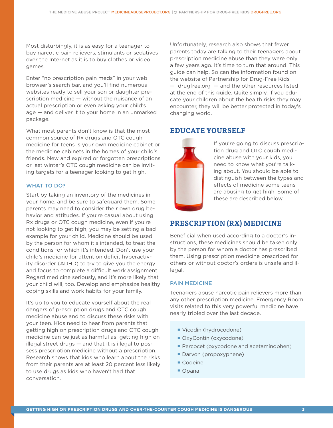Most disturbingly, it is as easy for a teenager to buy narcotic pain relievers, stimulants or sedatives over the Internet as it is to buy clothes or video games.

Enter "no prescription pain meds" in your web browser's search bar, and you'll find numerous websites ready to sell your son or daughter prescription medicine — without the nuisance of an actual prescription or even asking your child's age — and deliver it to your home in an unmarked package.

What most parents don't know is that the most common source of Rx drugs and OTC cough medicine for teens is your own medicine cabinet or the medicine cabinets in the homes of your child's friends. New and expired or forgotten prescriptions or last winter's OTC cough medicine can be inviting targets for a teenager looking to get high.

#### WHAT TO DO?

Start by taking an inventory of the medicines in your home, and be sure to safeguard them. Some parents may need to consider their own drug behavior and attitudes. If you're casual about using Rx drugs or OTC cough medicine, even if you're not looking to get high, you may be setting a bad example for your child. Medicine should be used by the person for whom it's intended, to treat the conditions for which it's intended. Don't use your child's medicine for attention deficit hyperactivity disorder (ADHD) to try to give you the energy and focus to complete a difficult work assignment. Regard medicine seriously, and it's more likely that your child will, too. Develop and emphasize healthy coping skills and work habits for your family.

It's up to you to educate yourself about the real dangers of prescription drugs and OTC cough medicine abuse and to discuss these risks with your teen. Kids need to hear from parents that getting high on prescription drugs and OTC cough medicine can be just as harmful as getting high on illegal street drugs — and that it is illegal to possess prescription medicine without a prescription. Research shows that kids who learn about the risks from their parents are at least 20 percent less likely to use drugs as kids who haven't had that conversation.

Unfortunately, research also shows that fewer parents today are talking to their teenagers about prescription medicine abuse than they were only a few years ago. It's time to turn that around. This guide can help. So can the information found on the website of Partnership for Drug-Free Kids — drugfree.org — and the other resources listed at the end of this guide. Quite simply, if you educate your children about the health risks they may encounter, they will be better protected in today's changing world.

## **EDUCATE YOURSELF**



If you're going to discuss prescription drug and OTC cough medicine abuse with your kids, you need to know what you're talking about. You should be able to distinguish between the types and effects of medicine some teens are abusing to get high. Some of these are described below.

## **PRESCRIPTION (RX) MEDICINE**

Beneficial when used according to a doctor's instructions, these medicines should be taken only by the person for whom a doctor has prescribed them. Using prescription medicine prescribed for others or without doctor's orders is unsafe and illegal.

## PAIN MEDICINE

Teenagers abuse narcotic pain relievers more than any other prescription medicine. Emergency Room visits related to this very powerful medicine have nearly tripled over the last decade.

- **Vicodin (hydrocodone)**
- OxyContin (oxycodone)
- **Percocet (oxycodone and acetaminophen)**
- Darvon (propoxyphene)
- Codeine
- Opana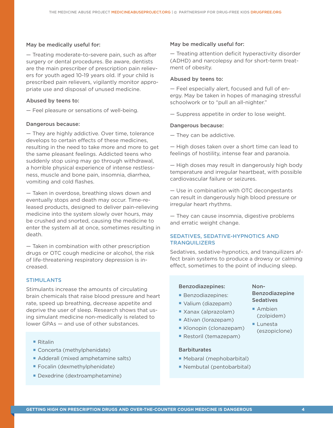#### May be medically useful for:

— Treating moderate-to-severe pain, such as after surgery or dental procedures. Be aware, dentists are the main prescriber of prescription pain relievers for youth aged 10-19 years old. If your child is prescribed pain relievers, vigilantly monitor appropriate use and disposal of unused medicine.

#### Abused by teens to:

— Feel pleasure or sensations of well-being.

#### Dangerous because:

— They are highly addictive. Over time, tolerance develops to certain effects of these medicines, resulting in the need to take more and more to get the same pleasant feelings. Addicted teens who suddenly stop using may go through withdrawal, a horrible physical experience of intense restlessness, muscle and bone pain, insomnia, diarrhea, vomiting and cold flashes.

— Taken in overdose, breathing slows down and eventually stops and death may occur. Time-released products, designed to deliver pain-relieving medicine into the system slowly over hours, may be crushed and snorted, causing the medicine to enter the system all at once, sometimes resulting in death.

— Taken in combination with other prescription drugs or OTC cough medicine or alcohol, the risk of life-threatening respiratory depression is increased.

#### STIMULANTS

Stimulants increase the amounts of circulating brain chemicals that raise blood pressure and heart rate, speed up breathing, decrease appetite and deprive the user of sleep. Research shows that using simulant medicine non-medically is related to lower GPAs — and use of other substances.

- Ritalin
- Concerta (methylphenidate)
- Adderall (mixed amphetamine salts)
- **Focalin (dexmethylphenidate)**
- **Dexedrine (dextroamphetamine)**

#### May be medically useful for:

— Treating attention deficit hyperactivity disorder (ADHD) and narcolepsy and for short-term treatment of obesity.

#### Abused by teens to:

— Feel especially alert, focused and full of energy. May be taken in hopes of managing stressful schoolwork or to "pull an all-nighter."

— Suppress appetite in order to lose weight.

#### Dangerous because:

— They can be addictive.

— High doses taken over a short time can lead to feelings of hostility, intense fear and paranoia.

— High doses may result in dangerously high body temperature and irregular heartbeat, with possible cardiovascular failure or seizures.

— Use in combination with OTC decongestants can result in dangerously high blood pressure or irregular heart rhythms.

— They can cause insomnia, digestive problems and erratic weight change.

## SEDATIVES, SEDATIVE-HYPNOTICS AND **TRANQUILIZERS**

Sedatives, sedative-hypnotics, and tranquilizers affect brain systems to produce a drowsy or calming effect, sometimes to the point of inducing sleep.

#### Benzodiazepines:

- **Benzodiazepines:**
- ¡ Valium (diazepam)
- ¡ Xanax (alprazolam)
- **Ativan (lorazepam)**
- ¡ Klonopin (clonazepam)
- ¡ Restoril (temazepam)

#### **Barbiturates**

- ¡ Mebaral (mephobarbital)
- ¡ Nembutal (pentobarbital)

#### **GETTING HIGH ON PRESCRIPTION DRUGS AND OVER-THE-COUNTER COUGH MEDICINE IS DANGEROUS 4**

#### Non-Benzodiazepine **Sedatives**

- Ambien (zolpidem)
- Lunesta (eszopiclone)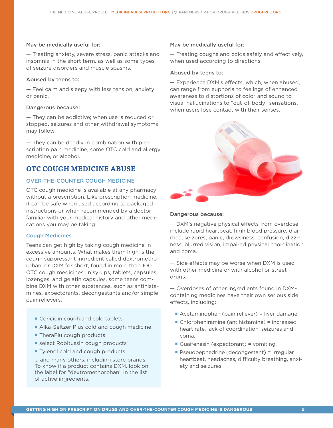#### May be medically useful for:

— Treating anxiety, severe stress, panic attacks and insomnia in the short term, as well as some types of seizure disorders and muscle spasms.

#### Abused by teens to:

— Feel calm and sleepy with less tension, anxiety or panic.

#### Dangerous because:

— They can be addictive; when use is reduced or stopped, seizures and other withdrawal symptoms may follow.

— They can be deadly in combination with prescription pain medicine, some OTC cold and allergy medicine, or alcohol.

# **OTC COUGH MEDICINE ABUSE**

#### OVER-THE-COUNTER COUGH MEDICINE

OTC cough medicine is available at any pharmacy without a prescription. Like prescription medicine, it can be safe when used according to packaged instructions or when recommended by a doctor familiar with your medical history and other medications you may be taking.

#### Cough Medicines

Teens can get high by taking cough medicine in excessive amounts. What makes them high is the cough suppressant ingredient called dextromethorphan, or DXM for short, found in more than 100 OTC cough medicines. In syrups, tablets, capsules, lozenges, and gelatin capsules, some teens combine DXM with other substances, such as antihistamines, expectorants, decongestants and/or simple pain relievers.

- Coricidin cough and cold tablets
- **Alka-Seltzer Plus cold and cough medicine**
- TheraFlu cough products
- **E** select Robitussin cough products
- Tylenol cold and cough products

... and many others, including store brands. To know if a product contains DXM, look on the label for "dextromethorphan" in the list of active ingredients.

#### May be medically useful for:

— Treating coughs and colds safely and effectively, when used according to directions.

#### Abused by teens to:

— Experience DXM's effects, which, when abused, can range from euphoria to feelings of enhanced awareness to distortions of color and sound to visual hallucinations to "out-of-body" sensations, when users lose contact with their senses.



#### Dangerous because:

— DXM's negative physical effects from overdose include rapid heartbeat, high blood pressure, diarrhea, seizures, panic, drowsiness, confusion, dizziness, blurred vision, impaired physical coordination and coma.

— Side effects may be worse when DXM is used with other medicine or with alcohol or street drugs.

— Overdoses of other ingredients found in DXMcontaining medicines have their own serious side effects, including:

- Acetaminophen (pain reliever) = liver damage.
- Chlorpheniramine (antihistamine) = increased heart rate, lack of coordination, seizures and coma.
- Guaifenesin (expectorant) = vomiting.
- Pseudoephedrine (decongestant) = irregular heartbeat, headaches, difficulty breathing, anxiety and seizures.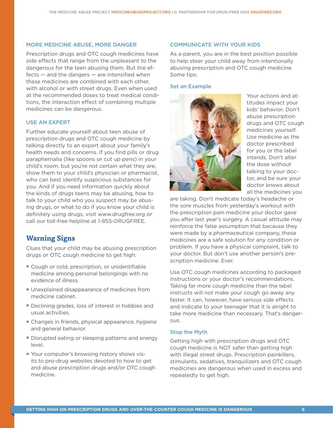#### MORE MEDICINE ABUSE, MORE DANGER

Prescription drugs and OTC cough medicines have side effects that range from the unpleasant to the dangerous for the teen abusing them. But the ef $fects$  — and the dangers — are intensified when these medicines are combined with each other, with alcohol or with street drugs. Even when used at the recommended doses to treat medical conditions, the interaction effect of combining multiple medicines can be dangerous.

#### USE AN EXPERT

Further educate yourself about teen abuse of prescription drugs and OTC cough medicine by talking directly to an expert about your family's health needs and concerns. If you find pills or drug paraphernalia (like spoons or cut up pens) in your child's room, but you're not certain what they are, show them to your child's physician or pharmacist, who can best identify suspicious substances for you. And if you need information quickly about the kinds of drugs teens may be abusing, how to talk to your child who you suspect may be abusing drugs, or what to do if you know your child is definitely using drugs, visit www.drugfree.org or call our toll-free helpline at 1-855-DRUGFREE.

## **Warning Signs**

Clues that your child may be abusing prescription drugs or OTC cough medicine to get high:

- **Cough or cold, prescription, or unidentifiable** medicine among personal belongings with no evidence of illness.
- **Unexplained disappearance of medicines from** medicine cabinet.
- **Declining grades, loss of interest in hobbies and** usual activities.
- **Changes in friends, physical appearance, hygiene** and general behavior.
- **Disrupted eating or sleeping patterns and energy** level.
- ¡ Your computer's browsing history shows visits to pro-drug websites devoted to how to get and abuse prescription drugs and/or OTC cough medicine.

#### COMMUNICATE WITH YOUR KIDS

As a parent, you are in the best position possible to help steer your child away from intentionally abusing prescription and OTC cough medicine. Some tips:

#### Set an Example



Your actions and attitudes impact your kids' behavior. Don't abuse prescription drugs and OTC cough medicines yourself. Use medicine as the doctor prescribed for you or the label intends. Don't alter the dose without talking to your doctor, and be sure your doctor knows about all the medicines you

are taking. Don't medicate today's headache or the sore muscles from yesterday's workout with the prescription pain medicine your doctor gave you after last year's surgery. A casual attitude may reinforce the false assumption that because they were made by a pharmaceutical company, these medicines are a safe solution for any condition or problem. If you have a physical complaint, talk to your doctor. But don't use another person's prescription medicine. Ever.

Use OTC cough medicines according to packaged instructions or your doctor's recommendations. Taking far more cough medicine than the label instructs will not make your cough go away any faster. It can, however, have serious side effects and indicate to your teenager that it is alright to take more medicine than necessary. That's dangerous.

#### Stop the Myth

Getting high with prescription drugs and OTC cough medicine is NOT safer than getting high with illegal street drugs. Prescription painkillers, stimulants, sedatives, tranquilizers and OTC cough medicines are dangerous when used in excess and repeatedly to get high.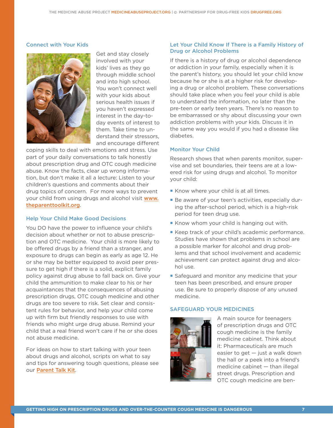#### Connect with Your Kids



Get and stay closely involved with your kids' lives as they go through middle school and into high school. You won't connect well with your kids about serious health issues if you haven't expressed interest in the day-today events of interest to them. Take time to understand their stressors, and encourage different

coping skills to deal with emotions and stress. Use part of your daily conversations to talk honestly about prescription drug and OTC cough medicine abuse. Know the facts, clear up wrong information, but don't make it all a lecture: Listen to your children's questions and comments about their drug topics of concern. For more ways to prevent your child from using drugs and alcohol visit [www.](http://www.drugfree.org/the-parent-toolkit/) [theparenttoolkit.org](http://www.drugfree.org/the-parent-toolkit/).

#### Help Your Child Make Good Decisions

You DO have the power to influence your child's decision about whether or not to abuse prescription and OTC medicine. Your child is more likely to be offered drugs by a friend than a stranger, and exposure to drugs can begin as early as age 12. He or she may be better equipped to avoid peer pressure to get high if there is a solid, explicit family policy against drug abuse to fall back on. Give your child the ammunition to make clear to his or her acquaintances that the consequences of abusing prescription drugs, OTC cough medicine and other drugs are too severe to risk. Set clear and consistent rules for behavior, and help your child come up with firm but friendly responses to use with friends who might urge drug abuse. Remind your child that a real friend won't care if he or she does not abuse medicine.

For ideas on how to start talking with your teen about drugs and alcohol, scripts on what to say and tips for answering tough questions, please see our [Parent Talk Kit](http://www.drugfree.org/resources/).

#### Let Your Child Know If There is a Family History of Drug or Alcohol Problems

If there is a history of drug or alcohol dependence or addiction in your family, especially when it is the parent's history, you should let your child know because he or she is at a higher risk for developing a drug or alcohol problem. These conversations should take place when you feel your child is able to understand the information, no later than the pre-teen or early teen years. There's no reason to be embarrassed or shy about discussing your own addiction problems with your kids. Discuss it in the same way you would if you had a disease like diabetes.

#### Monitor Your Child

Research shows that when parents monitor, supervise and set boundaries, their teens are at a lowered risk for using drugs and alcohol. To monitor your child:

- Know where your child is at all times.
- ¡ Be aware of your teen's activities, especially during the after-school period, which is a high-risk period for teen drug use.
- Know whom your child is hanging out with.
- Keep track of your child's academic performance. Studies have shown that problems in school are a possible marker for alcohol and drug problems and that school involvement and academic achievement can protect against drug and alcohol use.
- Safeguard and monitor any medicine that your teen has been prescribed, and ensure proper use. Be sure to properly dispose of any unused medicine.

#### SAFEGUARD YOUR MEDICINES



A main source for teenagers of prescription drugs and OTC cough medicine is the family medicine cabinet. Think about it: Pharmaceuticals are much easier to get — just a walk down the hall or a peek into a friend's medicine cabinet — than illegal street drugs. Prescription and OTC cough medicine are ben-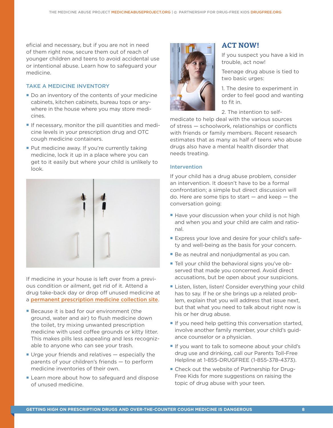eficial and necessary, but if you are not in need of them right now, secure them out of reach of younger children and teens to avoid accidental use or intentional abuse. Learn how to safeguard your medicine.

## TAKE A MEDICINE INVENTORY

- Do an inventory of the contents of your medicine cabinets, kitchen cabinets, bureau tops or anywhere in the house where you may store medicines.
- **If necessary, monitor the pill quantities and medi**cine levels in your prescription drug and OTC cough medicine containers.
- **Put medicine away. If you're currently taking** medicine, lock it up in a place where you can get to it easily but where your child is unlikely to look.



If medicine in your house is left over from a previous condition or ailment, get rid of it. Attend a drug take-back day or drop off unused medicine at a [permanent prescription medicine collection site](http://www.deadiversion.usdoj.gov/drug_disposal/takeback/).

- Because it is bad for our environment (the ground, water and air) to flush medicine down the toilet, try mixing unwanted prescription medicine with used coffee grounds or kitty litter. This makes pills less appealing and less recognizable to anyone who can see your trash.
- $\blacksquare$  Urge your friends and relatives  $-$  especially the parents of your children's friends — to perform medicine inventories of their own.
- **Example 2** Learn more about how to safeguard and dispose of unused medicine.



## **ACT NOW!**

If you suspect you have a kid in trouble, act now!

Teenage drug abuse is tied to two basic urges:

1. The desire to experiment in order to feel good and wanting to fit in.

2. The intention to self-

medicate to help deal with the various sources of stress — schoolwork, relationships or conflicts with friends or family members. Recent research estimates that as many as half of teens who abuse drugs also have a mental health disorder that needs treating.

#### **Intervention**

If your child has a drug abuse problem, consider an intervention. It doesn't have to be a formal confrontation; a simple but direct discussion will do. Here are some tips to start  $-$  and keep  $-$  the conversation going:

- Have your discussion when your child is not high and when you and your child are calm and rational.
- **Express your love and desire for your child's safe**ty and well-being as the basis for your concern.
- **Be as neutral and nonjudgmental as you can.**
- **Tell your child the behavioral signs you've ob**served that made you concerned. Avoid direct accusations, but be open about your suspicions.
- Listen, listen, listen! Consider everything your child has to say. If he or she brings up a related problem, explain that you will address that issue next, but that what you need to talk about right now is his or her drug abuse.
- **If you need help getting this conversation started,** involve another family member, your child's guidance counselor or a physician.
- ¡ If you want to talk to someone about your child's drug use and drinking, call our Parents Toll-Free Helpline at 1-855-DRUGFREE (1-855-378-4373).
- Check out the website of Partnership for Drug-Free Kids for more suggestions on raising the topic of drug abuse with your teen.